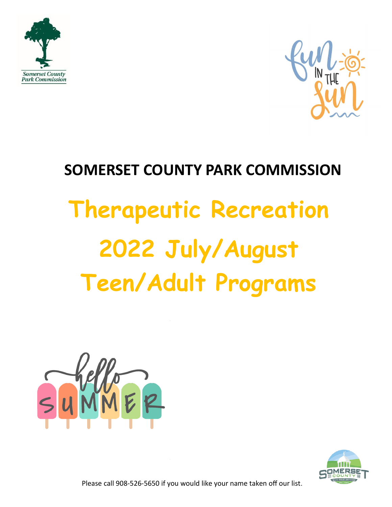



# **SOMERSET COUNTY PARK COMMISSION Therapeutic Recreation 2022 July/August Teen/Adult Programs**





Please call 908-526-5650 if you would like your name taken off our list.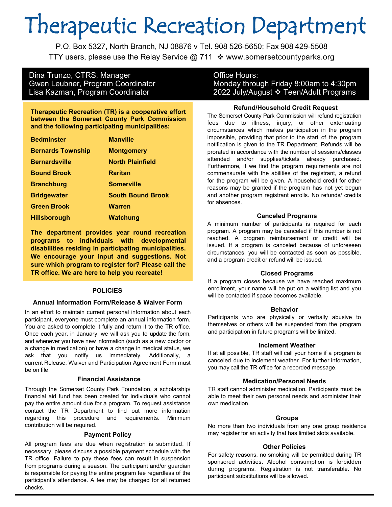# Therapeutic Recreation Department

P.O. Box 5327, North Branch, NJ 08876 v Tel. 908 526-5650; Fax 908 429-5508 TTY users, please use the Relay Service @ 711  $\cdot\cdot\cdot$  www.somersetcountyparks.org

# Dina Trunzo, CTRS, Manager **Canadia Exercise** Office Hours:

**Therapeutic Recreation (TR) is a cooperative effort between the Somerset County Park Commission and the following participating municipalities:**

| <b>Bedminster</b>        | <b>Manville</b>          |
|--------------------------|--------------------------|
| <b>Bernards Township</b> | <b>Montgomery</b>        |
| <b>Bernardsville</b>     | <b>North Plainfield</b>  |
| <b>Bound Brook</b>       | <b>Raritan</b>           |
| <b>Branchburg</b>        | <b>Somerville</b>        |
| <b>Bridgewater</b>       | <b>South Bound Brook</b> |
| <b>Green Brook</b>       | <b>Warren</b>            |
| <b>Hillsborough</b>      | <b>Watchung</b>          |

**The department provides year round recreation programs to individuals with developmental disabilities residing in participating municipalities. We encourage your input and suggestions. Not sure which program to register for? Please call the TR office. We are here to help you recreate!**

## **POLICIES**

## **Annual Information Form/Release & Waiver Form**

In an effort to maintain current personal information about each participant, everyone must complete an annual information form. You are asked to complete it fully and return it to the TR office. Once each year, in January, we will ask you to update the form, and whenever you have new information (such as a new doctor or a change in medication) or have a change in medical status, we ask that you notify us immediately. Additionally, a current Release, Waiver and Participation Agreement Form must be on file.

#### **Financial Assistance**

Through the Somerset County Park Foundation, a scholarship/ financial aid fund has been created for individuals who cannot pay the entire amount due for a program. To request assistance contact the TR Department to find out more information regarding this procedure and requirements. Minimum contribution will be required.

#### **Payment Policy**

All program fees are due when registration is submitted. If necessary, please discuss a possible payment schedule with the TR office. Failure to pay these fees can result in suspension from programs during a season. The participant and/or guardian is responsible for paying the entire program fee regardless of the participant's attendance. A fee may be charged for all returned checks.

# Gwen Leubner, Program Coordinator Monday through Friday 8:00am to 4:30pm Lisa Kazman, Program Coordinator 2022 July/August ❖ Teen/Adult Programs

#### **Refund/Household Credit Request**

The Somerset County Park Commission will refund registration fees due to illness, injury, or other extenuating circumstances which makes participation in the program impossible, providing that prior to the start of the program notification is given to the TR Department. Refunds will be prorated in accordance with the number of sessions/classes attended and/or supplies/tickets already purchased. Furthermore, if we find the program requirements are not commensurate with the abilities of the registrant, a refund for the program will be given. A household credit for other reasons may be granted if the program has not yet begun and another program registrant enrolls. No refunds/ credits for absences.

#### **Canceled Programs**

A minimum number of participants is required for each program. A program may be canceled if this number is not reached. A program reimbursement or credit will be issued. If a program is canceled because of unforeseen circumstances, you will be contacted as soon as possible, and a program credit or refund will be issued.

## **Closed Programs**

If a program closes because we have reached maximum enrollment, your name will be put on a waiting list and you will be contacted if space becomes available.

#### **Behavior**

Participants who are physically or verbally abusive to themselves or others will be suspended from the program and participation in future programs will be limited.

#### **Inclement Weather**

If at all possible, TR staff will call your home if a program is canceled due to inclement weather. For further information, you may call the TR office for a recorded message.

#### **Medication/Personal Needs**

TR staff cannot administer medication. Participants must be able to meet their own personal needs and administer their own medication.

#### **Groups**

No more than two individuals from any one group residence may register for an activity that has limited slots available.

#### **Other Policies**

For safety reasons, no smoking will be permitted during TR sponsored activities. Alcohol consumption is forbidden during programs. Registration is not transferable. No participant substitutions will be allowed.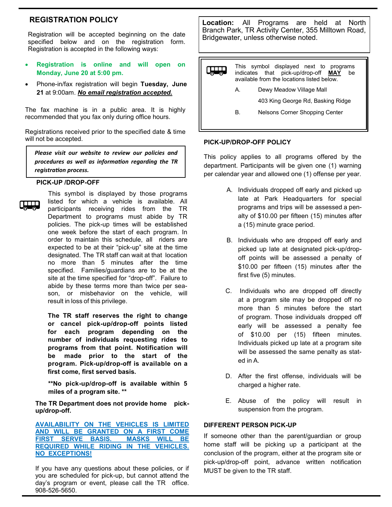## **REGISTRATION POLICY**

Registration will be accepted beginning on the date specified below and on the registration form. Registration is accepted in the following ways:

- **Registration is online and will open on Monday, June 20 at 5:00 pm.**
- Phone-in/fax registration will begin **Tuesday, June 21** at 9:00am. *No email registration accepted.*

The fax machine is in a public area. It is highly recommended that you fax only during office hours.

Registrations received prior to the specified date & time will not be accepted.

*Please visit our website to review our policies and procedures as well as information regarding the TR registration process.*

#### **PICK-UP /DROP-OFF**



This symbol is displayed by those programs listed for which a vehicle is available. All participants receiving rides from the TR Department to programs must abide by TR policies. The pick-up times will be established one week before the start of each program. In order to maintain this schedule, all riders are expected to be at their "pick-up" site at the time designated. The TR staff can wait at that location no more than 5 minutes after the time specified. Families/guardians are to be at the site at the time specified for "drop-off". Failure to abide by these terms more than twice per season, or misbehavior on the vehicle, will result in loss of this privilege.

**The TR staff reserves the right to change or cancel pick-up/drop-off points listed for each program depending on the number of individuals requesting rides to programs from that point. Notification will be made prior to the start of the program. Pick-up/drop-off is available on a first come, first served basis.**

**\*\*No pick-up/drop-off is available within 5 miles of a program site. \*\***

**The TR Department does not provide home pickup/drop-off.**

**AVAILABILITY ON THE VEHICLES IS LIMITED AND WILL BE GRANTED ON A FIRST COME FIRST SERVE BASIS. MASKS WILL BE REQUIRED WHILE RIDING IN THE VEHICLES. NO EXCEPTIONS!**

If you have any questions about these policies, or if you are scheduled for pick-up, but cannot attend the day's program or event, please call the TR office. 908-526-5650.

**Location:** All Programs are held at North Branch Park, TR Activity Center, 355 Milltown Road, Bridgewater, unless otherwise noted.



#### **PICK-UP/DROP-OFF POLICY**

This policy applies to all programs offered by the department. Participants will be given one (1) warning per calendar year and allowed one (1) offense per year.

- A. Individuals dropped off early and picked up late at Park Headquarters for special programs and trips will be assessed a penalty of \$10.00 per fifteen (15) minutes after a (15) minute grace period.
- B. Individuals who are dropped off early and picked up late at designated pick-up/dropoff points will be assessed a penalty of \$10.00 per fifteen (15) minutes after the first five (5) minutes.
- C. Individuals who are dropped off directly at a program site may be dropped off no more than 5 minutes before the start of program. Those individuals dropped off early will be assessed a penalty fee of \$10.00 per (15) fifteen minutes. Individuals picked up late at a program site will be assessed the same penalty as stated in A.
- D. After the first offense, individuals will be charged a higher rate.
- E. Abuse of the policy will result in suspension from the program.

## **DIFFERENT PERSON PICK-UP**

If someone other than the parent/guardian or group home staff will be picking up a participant at the conclusion of the program, either at the program site or pick-up/drop-off point, advance written notification MUST be given to the TR staff.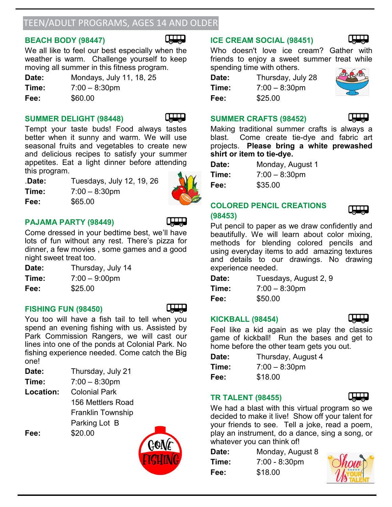# TEEN/ADULT PROGRAMS, AGES 14 AND OLDER

# **BEACH BODY (98447)**



We all like to feel our best especially when the weather is warm. Challenge yourself to keep moving all summer in this fitness program.

| Date: | Mondays, July 11, 18, 25 |
|-------|--------------------------|
| Time: | $7:00 - 8:30$ pm         |
| Fee:  | \$60.00                  |

# **SUMMER DELIGHT (98448)**



Tempt your taste buds! Food always tastes better when it sunny and warm. We will use seasonal fruits and vegetables to create new and delicious recipes to satisfy your summer appetites. Eat a light dinner before attending this program.

**Time:** 7:00 – 8:30pm

**Fee:** \$65.00



# **PAJAMA PARTY (98449)**



Come dressed in your bedtime best, we'll have lots of fun without any rest. There's pizza for dinner, a few movies , some games and a good night sweet treat too.

| Date: | Thursday, July 14 |
|-------|-------------------|
| Time: | $7:00 - 9:00$ pm  |
| Fee:  | \$25.00           |

# **FISHING FUN (98450)**



You too will have a fish tail to tell when you spend an evening fishing with us. Assisted by Park Commission Rangers, we will cast our lines into one of the ponds at Colonial Park. No fishing experience needed. Come catch the Big one!

| Date: | Thursday, July 21 |
|-------|-------------------|
| Time: | $7:00 - 8:30$ pm  |

**Location:** Colonial Park 156 Mettlers Road Franklin Township Parking Lot B **Fee:** \$20.00

# **ICE CREAM SOCIAL (98451)**

Who doesn't love ice cream? Gather with friends to enjoy a sweet summer treat while spending time with others.

| Date: | Thursday, July 28 |
|-------|-------------------|
| Time: | $7:00 - 8:30$ pm  |
| Fee:  | \$25.00           |



# **SUMMER CRAFTS (98452)**



Making traditional summer crafts is always a blast. Come create tie-dye and fabric art projects. **Please bring a white prewashed shirt or item to tie-dye.**

| Date: | Monday, August 1 |
|-------|------------------|
| Time: | $7:00 - 8:30$ pm |
| Fee:  | \$35.00          |

# **COLORED PENCIL CREATIONS (98453)**

Put pencil to paper as we draw confidently and beautifully. We will learn about color mixing, methods for blending colored pencils and using everyday items to add amazing textures and details to our drawings. No drawing experience needed.

| Date: | Tuesdays, August 2, 9 |
|-------|-----------------------|
| Time: | $7:00 - 8:30$ pm      |
| Fee:  | \$50.00               |

# **KICKBALL (98454)**

Feel like a kid again as we play the classic game of kickball! Run the bases and get to home before the other team gets you out.

| Date: | Thursday, August 4 |
|-------|--------------------|
| Time: | $7:00 - 8:30$ pm   |
| Fee:  | \$18.00            |

# **TR TALENT (98455)**

We had a blast with this virtual program so we decided to make it live! Show off your talent for your friends to see. Tell a joke, read a poem, play an instrument, do a dance, sing a song, or whatever you can think of!

| Date: | Monday, August 8 |               |
|-------|------------------|---------------|
| Time: | $7:00 - 8:30$ pm | $\bigcirc$ h  |
| Fee:  | \$18.00          | $\mathcal{U}$ |





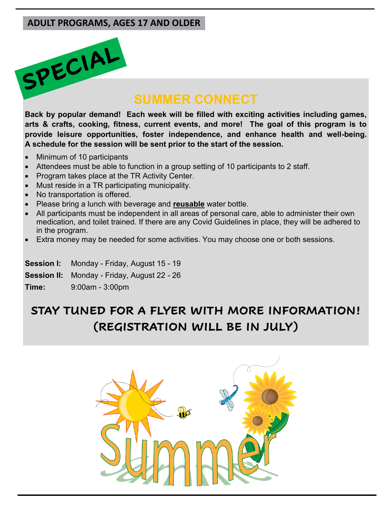# **ADULT PROGRAMS, AGES 17 AND OLDER**

# SPECIAL

# **SUMMER CONNECT**

**Back by popular demand! Each week will be filled with exciting activities including games, arts & crafts, cooking, fitness, current events, and more! The goal of this program is to provide leisure opportunities, foster independence, and enhance health and well-being. A schedule for the session will be sent prior to the start of the session.** 

- Minimum of 10 participants
- Attendees must be able to function in a group setting of 10 participants to 2 staff.
- Program takes place at the TR Activity Center.
- Must reside in a TR participating municipality.
- No transportation is offered.
- Please bring a lunch with beverage and **reusable** water bottle.
- All participants must be independent in all areas of personal care, able to administer their own medication, and toilet trained. If there are any Covid Guidelines in place, they will be adhered to in the program.
- Extra money may be needed for some activities. You may choose one or both sessions.

**Session I:** Monday - Friday, August 15 - 19

- **Session II:** Monday Friday, August 22 26
- **Time:** 9:00am 3:00pm

# **STAY TUNED FOR A FLYER WITH MORE INFORMATION! (REGISTRATION WILL BE IN JULY)**